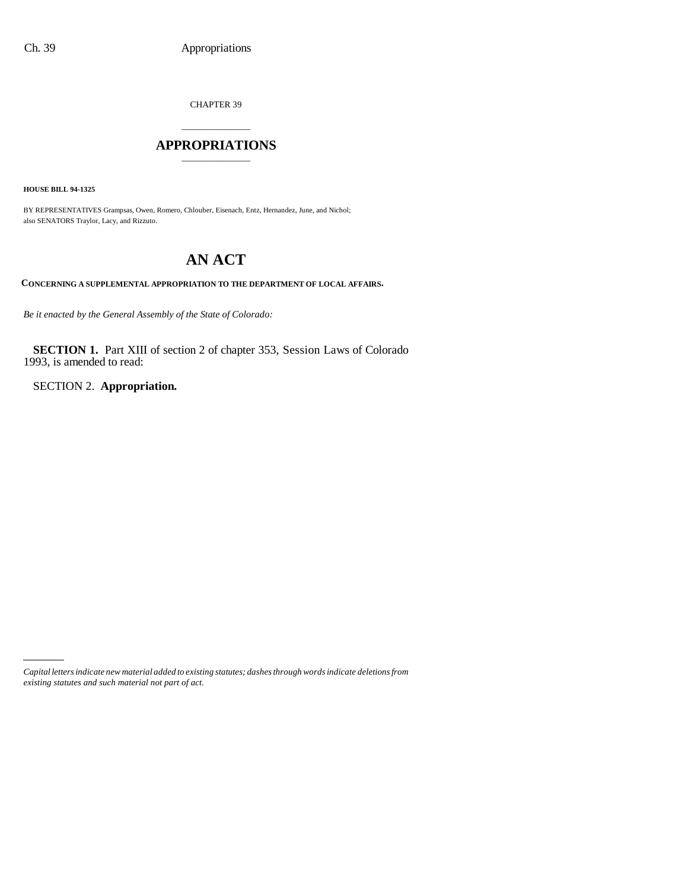CHAPTER 39

### \_\_\_\_\_\_\_\_\_\_\_\_\_\_\_ **APPROPRIATIONS** \_\_\_\_\_\_\_\_\_\_\_\_\_\_\_

**HOUSE BILL 94-1325**

BY REPRESENTATIVES Grampsas, Owen, Romero, Chlouber, Eisenach, Entz, Hernandez, June, and Nichol; also SENATORS Traylor, Lacy, and Rizzuto.

# **AN ACT**

**CONCERNING A SUPPLEMENTAL APPROPRIATION TO THE DEPARTMENT OF LOCAL AFFAIRS.**

*Be it enacted by the General Assembly of the State of Colorado:*

**SECTION 1.** Part XIII of section 2 of chapter 353, Session Laws of Colorado 1993, is amended to read:

SECTION 2. **Appropriation.**

*Capital letters indicate new material added to existing statutes; dashes through words indicate deletions from existing statutes and such material not part of act.*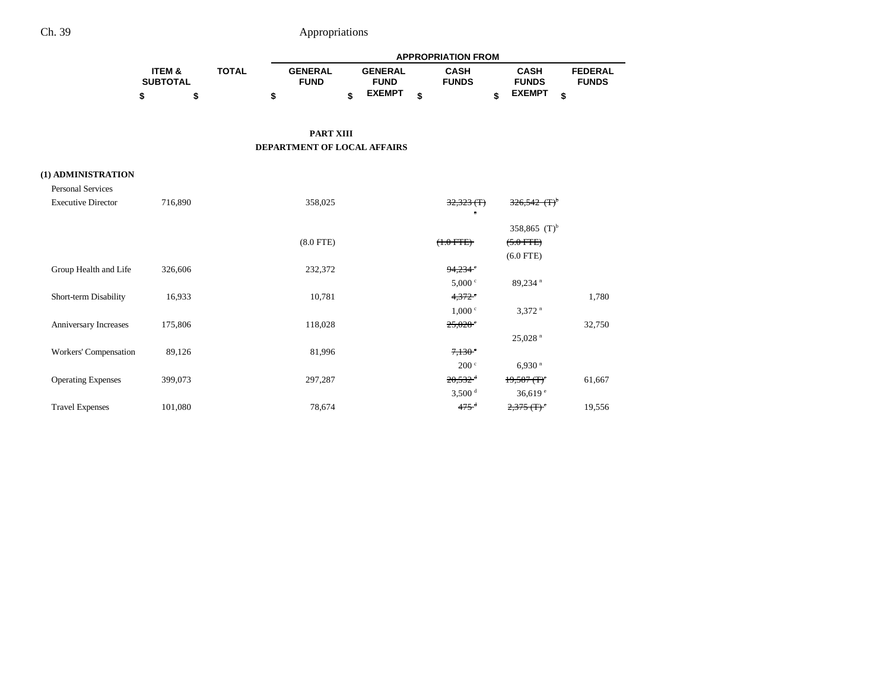|                           |                                      |              | <b>APPROPRIATION FROM</b>     |    |                               |    |                             |    |                                           |                                |  |
|---------------------------|--------------------------------------|--------------|-------------------------------|----|-------------------------------|----|-----------------------------|----|-------------------------------------------|--------------------------------|--|
|                           | <b>ITEM &amp;</b><br><b>SUBTOTAL</b> | <b>TOTAL</b> | <b>GENERAL</b><br><b>FUND</b> |    | <b>GENERAL</b><br><b>FUND</b> |    | <b>CASH</b><br><b>FUNDS</b> |    | <b>CASH</b><br><b>FUNDS</b>               | <b>FEDERAL</b><br><b>FUNDS</b> |  |
|                           | \$<br>\$                             | \$           |                               | \$ | <b>EXEMPT</b>                 | \$ |                             | \$ | <b>EXEMPT</b>                             | \$                             |  |
|                           |                                      |              |                               |    |                               |    |                             |    |                                           |                                |  |
|                           |                                      |              | <b>PART XIII</b>              |    |                               |    |                             |    |                                           |                                |  |
|                           |                                      |              | DEPARTMENT OF LOCAL AFFAIRS   |    |                               |    |                             |    |                                           |                                |  |
|                           |                                      |              |                               |    |                               |    |                             |    |                                           |                                |  |
| (1) ADMINISTRATION        |                                      |              |                               |    |                               |    |                             |    |                                           |                                |  |
| <b>Personal Services</b>  |                                      |              |                               |    |                               |    |                             |    |                                           |                                |  |
| <b>Executive Director</b> | 716,890                              |              | 358,025                       |    |                               |    | 32,323(f)<br>$\bullet$      |    |                                           |                                |  |
|                           |                                      |              |                               |    |                               |    |                             |    | 358,865 $(T)^b$                           |                                |  |
|                           |                                      |              | $(8.0$ FTE)                   |    |                               |    | $(+.0$ FTE)                 |    | $(5.0 FFE)$                               |                                |  |
|                           |                                      |              |                               |    |                               |    |                             |    | $(6.0$ FTE)                               |                                |  |
| Group Health and Life     | 326,606                              |              | 232,372                       |    |                               |    | 94,234                      |    |                                           |                                |  |
|                           |                                      |              |                               |    |                               |    | 5,000 °                     |    | $89,234$ <sup>n</sup>                     |                                |  |
| Short-term Disability     | 16,933                               |              | 10,781                        |    |                               |    | $4,372$ <sup>e</sup>        |    |                                           | 1,780                          |  |
|                           |                                      |              |                               |    |                               |    | 1,000 °                     |    | $3,372$ <sup>n</sup>                      |                                |  |
| Anniversary Increases     | 175,806                              |              | 118,028                       |    |                               |    | $25,028$ <sup>e</sup>       |    | 25,028 <sup>n</sup>                       | 32,750                         |  |
| Workers' Compensation     | 89,126                               |              | 81,996                        |    |                               |    | 7,130                       |    |                                           |                                |  |
|                           |                                      |              |                               |    |                               |    | 200 <sup>c</sup>            |    | $6,930$ <sup>n</sup>                      |                                |  |
| <b>Operating Expenses</b> | 399,073                              |              | 297,287                       |    |                               |    | $20,532$ <sup>d</sup>       |    | $19,587$ (T) <sup>c</sup>                 | 61,667                         |  |
|                           |                                      |              |                               |    |                               |    | 3,500 <sup>d</sup>          |    | 36,619 $e$                                |                                |  |
| <b>Travel Expenses</b>    | 101,080                              |              | 78,674                        |    |                               |    | $475$ <sup>d</sup>          |    | $2,375$ (T) <sup><math>\circ</math></sup> | 19,556                         |  |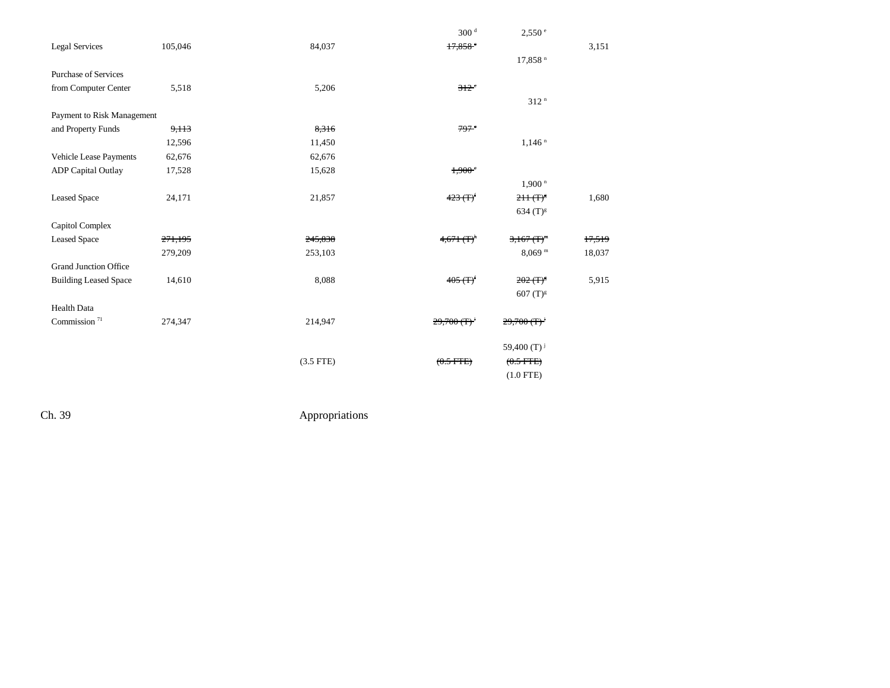|                              |         |             | 300 <sup>d</sup>          | 2,550 e                                |        |
|------------------------------|---------|-------------|---------------------------|----------------------------------------|--------|
| <b>Legal Services</b>        | 105,046 | 84,037      | 17.858                    |                                        | 3,151  |
|                              |         |             |                           | $17,858$ <sup>n</sup>                  |        |
| <b>Purchase of Services</b>  |         |             |                           |                                        |        |
| from Computer Center         | 5,518   | 5,206       | $312$ <sup>c</sup>        |                                        |        |
|                              |         |             |                           | 312 <sup>n</sup>                       |        |
| Payment to Risk Management   |         |             |                           |                                        |        |
| and Property Funds           | 9,113   | 8,316       | 797 <sup>°</sup>          |                                        |        |
|                              | 12,596  | 11,450      |                           | $1,146$ <sup>n</sup>                   |        |
| Vehicle Lease Payments       | 62,676  | 62,676      |                           |                                        |        |
| <b>ADP</b> Capital Outlay    | 17,528  | 15,628      | 1,900°                    |                                        |        |
|                              |         |             |                           | $1,900$ <sup>n</sup>                   |        |
| <b>Leased Space</b>          | 24,171  | 21,857      | $423(f)$ <sup>f</sup>     | $211($ T) <sup>8</sup>                 | 1,680  |
|                              |         |             |                           | $634(T)^{8}$                           |        |
| Capitol Complex              |         |             |                           |                                        |        |
| <b>Leased Space</b>          | 271,195 | 245,838     | $4,671$ (T) <sup>h</sup>  | $3,167$ (T) <sup>m</sup>               | 17,519 |
|                              | 279,209 | 253,103     |                           | $8,069$ <sup>m</sup>                   | 18,037 |
| <b>Grand Junction Office</b> |         |             |                           |                                        |        |
| <b>Building Leased Space</b> | 14,610  | 8,088       | $405(T)^f$                | $202 \, (\text{T})^5$                  | 5,915  |
|                              |         |             |                           | $607 (T)^{g}$                          |        |
| <b>Health Data</b>           |         |             |                           |                                        |        |
| Commission $71$              | 274,347 | 214,947     | $29,700$ (T) <sup>2</sup> | $29,700$ (T) <sup><math>'</math></sup> |        |
|                              |         |             |                           |                                        |        |
|                              |         |             |                           | 59,400 $(T)^{j}$                       |        |
|                              |         | $(3.5$ FTE) | $(0.5$ FTE)               | $(0.5$ FTE)                            |        |
|                              |         |             |                           | $(1.0$ FTE)                            |        |
|                              |         |             |                           |                                        |        |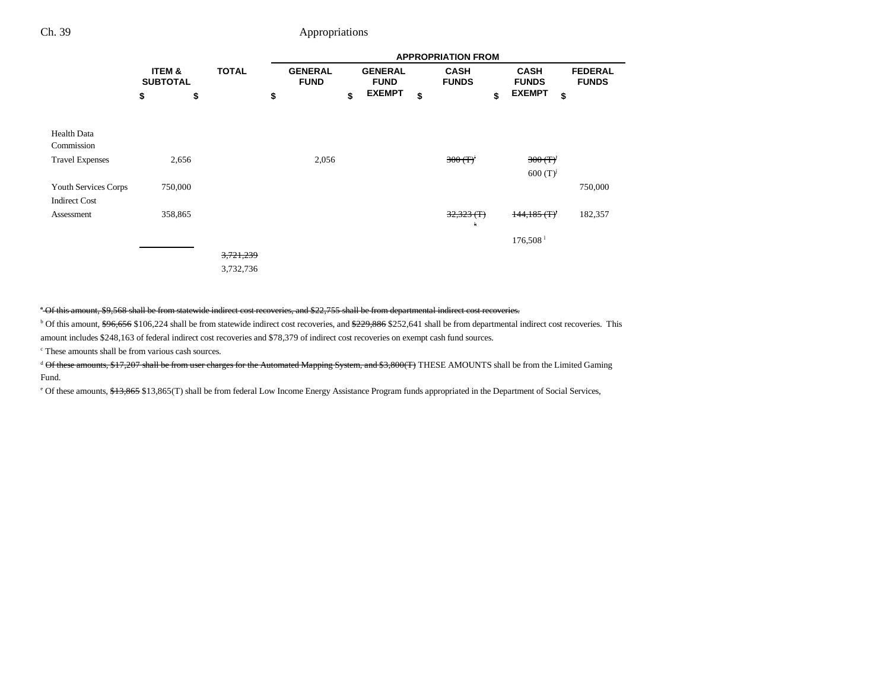|                                              |                           |              |           |    | <b>APPROPRIATION FROM</b> |                                                 |               |    |                             |    |                             |                                |  |  |
|----------------------------------------------|---------------------------|--------------|-----------|----|---------------------------|-------------------------------------------------|---------------|----|-----------------------------|----|-----------------------------|--------------------------------|--|--|
|                                              | ITEM &<br><b>SUBTOTAL</b> | <b>TOTAL</b> |           |    |                           | <b>GENERAL</b><br><b>GENERAL</b><br><b>FUND</b> |               |    | <b>CASH</b><br><b>FUNDS</b> |    | <b>CASH</b><br><b>FUNDS</b> | <b>FEDERAL</b><br><b>FUNDS</b> |  |  |
|                                              | \$                        | \$           |           | \$ |                           | \$                                              | <b>EXEMPT</b> | \$ |                             | \$ | <b>EXEMPT</b>               | \$                             |  |  |
| Health Data<br>Commission                    |                           |              |           |    |                           |                                                 |               |    |                             |    |                             |                                |  |  |
| <b>Travel Expenses</b>                       |                           | 2,656        |           |    | 2,056                     |                                                 |               |    | $300 (T)^{i}$               |    | 300(T)<br>$600(T)^{j}$      |                                |  |  |
| Youth Services Corps<br><b>Indirect Cost</b> |                           | 750,000      |           |    |                           |                                                 |               |    |                             |    |                             | 750,000                        |  |  |
| Assessment                                   |                           | 358,865      |           |    |                           |                                                 |               |    | 32,323(f)<br>ж              |    | $144, 185$ (T) <sup>t</sup> | 182,357                        |  |  |
|                                              |                           |              |           |    |                           |                                                 |               |    |                             |    | $176,508$ <sup>1</sup>      |                                |  |  |
|                                              |                           |              | 3,721,239 |    |                           |                                                 |               |    |                             |    |                             |                                |  |  |
|                                              |                           |              | 3,732,736 |    |                           |                                                 |               |    |                             |    |                             |                                |  |  |

<sup>a</sup> Of this amount, \$9,568 shall be from statewide indirect cost recoveries, and \$22,755 shall be from departmental indirect cost recoveries.

<sup>b</sup> Of this amount, \$96,656 \$106,224 shall be from statewide indirect cost recoveries, and \$229,886 \$252,641 shall be from departmental indirect cost recoveries. This amount includes \$248,163 of federal indirect cost recoveries and \$78,379 of indirect cost recoveries on exempt cash fund sources.

c These amounts shall be from various cash sources.

<sup>d</sup> Of these amounts, \$17,207 shall be from user charges for the Automated Mapping System, and \$3,800(T) THESE AMOUNTS shall be from the Limited Gaming Fund.

<sup>e</sup> Of these amounts, \$13,865 \$13,865(T) shall be from federal Low Income Energy Assistance Program funds appropriated in the Department of Social Services,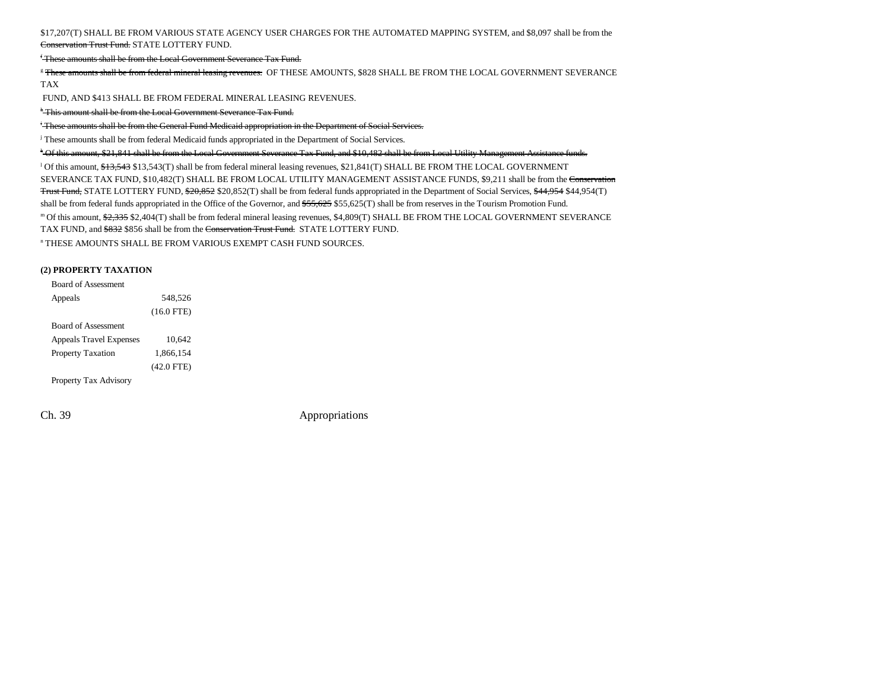\$17,207(T) SHALL BE FROM VARIOUS STATE AGENCY USER CHARGES FOR THE AUTOMATED MAPPING SYSTEM, and \$8,097 shall be from the <del>Conservation Trust Fund.</del> STATE LOTTERY FUND.

f These amounts shall be from the Local Government Severance Tax Fund.

<sup>g</sup> These amounts shall be from federal mineral leasing revenues. OF THESE AMOUNTS, \$828 SHALL BE FROM THE LOCAL GOVERNMENT SEVERANCE TAX

FUND, AND \$413 SHALL BE FROM FEDERAL MINERAL LEASING REVENUES.

h This amount shall be from the Local Government Severance Tax Fund.

i These amounts shall be from the General Fund Medicaid appropriation in the Department of Social Services.

<sup>j</sup> These amounts shall be from federal Medicaid funds appropriated in the Department of Social Services.

k Of this amount, \$21,841 shall be from the Local Government Severance Tax Fund, and \$10,482 shall be from Local Utility Management Assistance funds. l Of this amount, \$13,543 \$13,543(T) shall be from federal mineral leasing revenues, \$21,841(T) SHALL BE FROM THE LOCAL GOVERNMENT SEVERANCE TAX FUND, \$10,482(T) SHALL BE FROM LOCAL UTILITY MANAGEMENT ASSISTANCE FUNDS, \$9,211 shall be from the Conservation Trust Fund, STATE LOTTERY FUND, \$20,852 \$20,852(T) shall be from federal funds appropriated in the Department of Social Services, \$44,954 \$44,954(T) shall be from federal funds appropriated in the Office of the Governor, and  $$55,625$5,625(T)$  shall be from reserves in the Tourism Promotion Fund. m Of this amount, \$2,335 \$2,404(T) shall be from federal mineral leasing revenues, \$4,809(T) SHALL BE FROM THE LOCAL GOVERNMENT SEVERANCE TAX FUND, and \$832 \$856 shall be from the Conservation Trust Fund. STATE LOTTERY FUND. n THESE AMOUNTS SHALL BE FROM VARIOUS EXEMPT CASH FUND SOURCES.

#### **(2) PROPERTY TAXATION**

| <b>Board of Assessment</b>     |              |
|--------------------------------|--------------|
| Appeals                        | 548,526      |
|                                | $(16.0$ FTE) |
| <b>Board of Assessment</b>     |              |
| <b>Appeals Travel Expenses</b> | 10.642       |
| <b>Property Taxation</b>       | 1.866.154    |
|                                | $(42.0$ FTE) |
| Property Tax Advisory          |              |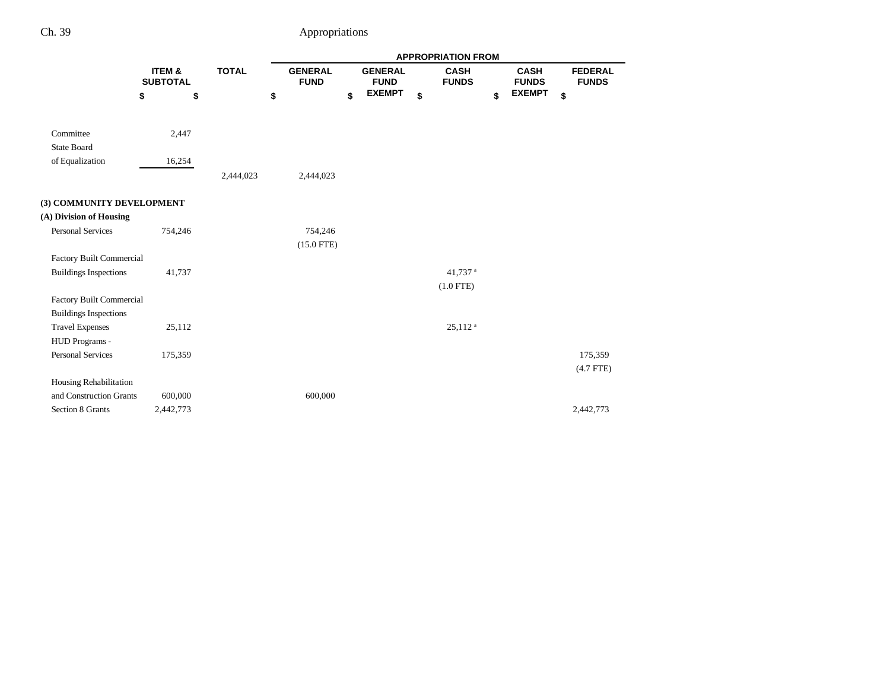|                                 |                           |              | <b>APPROPRIATION FROM</b> |    |                               |    |                             |    |                             |    |                                |
|---------------------------------|---------------------------|--------------|---------------------------|----|-------------------------------|----|-----------------------------|----|-----------------------------|----|--------------------------------|
|                                 | ITEM &<br><b>SUBTOTAL</b> | <b>TOTAL</b> |                           |    | <b>GENERAL</b><br><b>FUND</b> |    | <b>CASH</b><br><b>FUNDS</b> |    | <b>CASH</b><br><b>FUNDS</b> |    | <b>FEDERAL</b><br><b>FUNDS</b> |
|                                 | \$<br>\$                  |              | \$                        | \$ | <b>EXEMPT</b>                 | \$ |                             | \$ | <b>EXEMPT</b>               | \$ |                                |
| Committee                       | 2,447                     |              |                           |    |                               |    |                             |    |                             |    |                                |
| <b>State Board</b>              |                           |              |                           |    |                               |    |                             |    |                             |    |                                |
| of Equalization                 | 16,254                    |              |                           |    |                               |    |                             |    |                             |    |                                |
|                                 |                           | 2,444,023    | 2,444,023                 |    |                               |    |                             |    |                             |    |                                |
| (3) COMMUNITY DEVELOPMENT       |                           |              |                           |    |                               |    |                             |    |                             |    |                                |
| (A) Division of Housing         |                           |              |                           |    |                               |    |                             |    |                             |    |                                |
| <b>Personal Services</b>        | 754,246                   |              | 754,246                   |    |                               |    |                             |    |                             |    |                                |
|                                 |                           |              | $(15.0$ FTE)              |    |                               |    |                             |    |                             |    |                                |
| Factory Built Commercial        |                           |              |                           |    |                               |    |                             |    |                             |    |                                |
| <b>Buildings Inspections</b>    | 41,737                    |              |                           |    |                               |    | 41,737 <sup>a</sup>         |    |                             |    |                                |
|                                 |                           |              |                           |    |                               |    | $(1.0$ FTE)                 |    |                             |    |                                |
| <b>Factory Built Commercial</b> |                           |              |                           |    |                               |    |                             |    |                             |    |                                |
| <b>Buildings Inspections</b>    |                           |              |                           |    |                               |    |                             |    |                             |    |                                |
| <b>Travel Expenses</b>          | 25,112                    |              |                           |    |                               |    | $25,112$ <sup>a</sup>       |    |                             |    |                                |
| HUD Programs -                  |                           |              |                           |    |                               |    |                             |    |                             |    |                                |
| <b>Personal Services</b>        | 175,359                   |              |                           |    |                               |    |                             |    |                             |    | 175,359                        |
|                                 |                           |              |                           |    |                               |    |                             |    |                             |    | $(4.7$ FTE)                    |
| Housing Rehabilitation          |                           |              |                           |    |                               |    |                             |    |                             |    |                                |
| and Construction Grants         | 600,000                   |              | 600,000                   |    |                               |    |                             |    |                             |    |                                |
| Section 8 Grants                | 2,442,773                 |              |                           |    |                               |    |                             |    |                             |    | 2,442,773                      |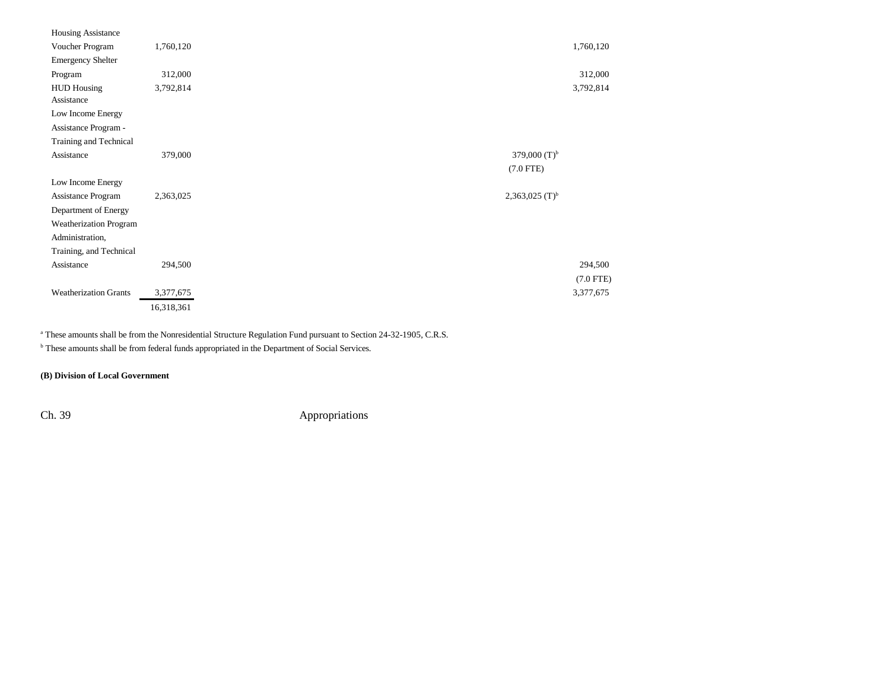| <b>Housing Assistance</b>    |            |                     |
|------------------------------|------------|---------------------|
| Voucher Program              | 1,760,120  |                     |
| <b>Emergency Shelter</b>     |            |                     |
| Program                      | 312,000    |                     |
| <b>HUD Housing</b>           | 3,792,814  |                     |
| Assistance                   |            |                     |
| Low Income Energy            |            |                     |
| Assistance Program -         |            |                     |
| Training and Technical       |            |                     |
| Assistance                   | 379,000    | 379,000 $(T)^b$     |
|                              |            | $(7.0$ FTE)         |
| Low Income Energy            |            |                     |
| Assistance Program           | 2,363,025  | 2,363,025 $(T)^{b}$ |
| Department of Energy         |            |                     |
| Weatherization Program       |            |                     |
| Administration,              |            |                     |
| Training, and Technical      |            |                     |
| Assistance                   | 294,500    |                     |
|                              |            |                     |
| <b>Weatherization Grants</b> | 3,377,675  |                     |
|                              | 16,318,361 |                     |

<sup>a</sup> These amounts shall be from the Nonresidential Structure Regulation Fund pursuant to Section 24-32-1905, C.R.S.

**b** These amounts shall be from federal funds appropriated in the Department of Social Services.

### **(B) Division of Local Government**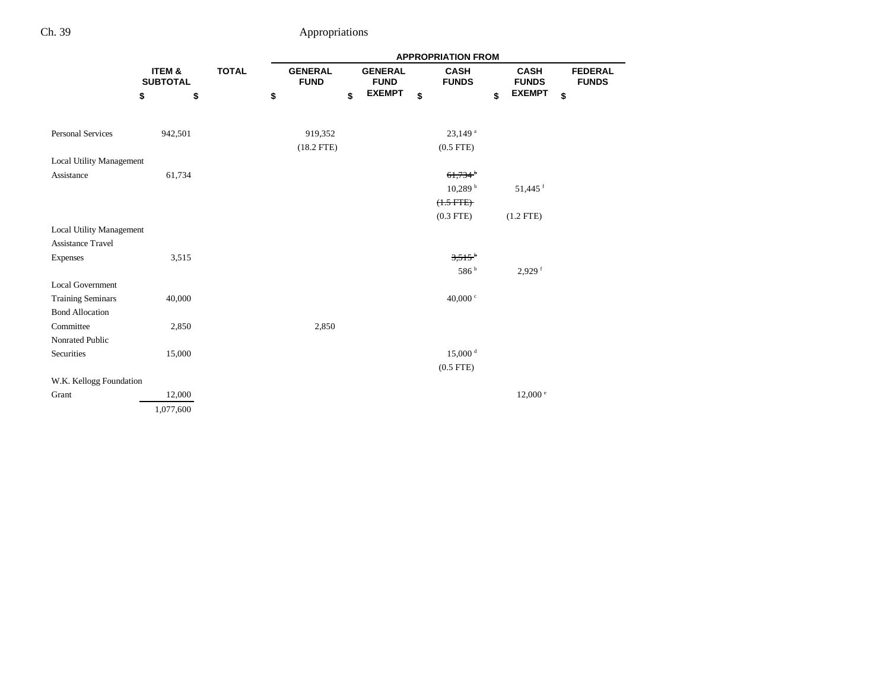|                                 | <b>APPROPRIATION FROM</b>            |              |    |                               |    |                               |                             |    |                             |                                |
|---------------------------------|--------------------------------------|--------------|----|-------------------------------|----|-------------------------------|-----------------------------|----|-----------------------------|--------------------------------|
|                                 | <b>ITEM &amp;</b><br><b>SUBTOTAL</b> | <b>TOTAL</b> |    | <b>GENERAL</b><br><b>FUND</b> |    | <b>GENERAL</b><br><b>FUND</b> | <b>CASH</b><br><b>FUNDS</b> |    | <b>CASH</b><br><b>FUNDS</b> | <b>FEDERAL</b><br><b>FUNDS</b> |
|                                 | \$<br>\$                             |              | \$ |                               | \$ | <b>EXEMPT</b>                 | \$                          | \$ | <b>EXEMPT</b>               | \$                             |
|                                 |                                      |              |    |                               |    |                               |                             |    |                             |                                |
| <b>Personal Services</b>        | 942,501                              |              |    | 919,352                       |    |                               | $23,149$ <sup>a</sup>       |    |                             |                                |
|                                 |                                      |              |    | $(18.2$ FTE)                  |    |                               | $(0.5$ FTE $)$              |    |                             |                                |
| Local Utility Management        |                                      |              |    |                               |    |                               |                             |    |                             |                                |
| Assistance                      | 61,734                               |              |    |                               |    |                               | $61,734$ <sup>b</sup>       |    |                             |                                |
|                                 |                                      |              |    |                               |    |                               | 10,289h                     |    | 51,445 <sup>f</sup>         |                                |
|                                 |                                      |              |    |                               |    |                               | $(1.5$ $FTE)$               |    |                             |                                |
|                                 |                                      |              |    |                               |    |                               | $(0.3$ FTE)                 |    | $(1.2$ FTE)                 |                                |
| <b>Local Utility Management</b> |                                      |              |    |                               |    |                               |                             |    |                             |                                |
| <b>Assistance Travel</b>        |                                      |              |    |                               |    |                               |                             |    |                             |                                |
| Expenses                        | 3,515                                |              |    |                               |    |                               | $3.515^{b}$                 |    |                             |                                |
|                                 |                                      |              |    |                               |    |                               | 586 <sup>b</sup>            |    | $2,929$ <sup>f</sup>        |                                |
| <b>Local Government</b>         |                                      |              |    |                               |    |                               |                             |    |                             |                                |
| <b>Training Seminars</b>        | 40,000                               |              |    |                               |    |                               | 40,000 $\degree$            |    |                             |                                |
| <b>Bond Allocation</b>          |                                      |              |    |                               |    |                               |                             |    |                             |                                |
| Committee                       | 2,850                                |              |    | 2,850                         |    |                               |                             |    |                             |                                |
| Nonrated Public                 |                                      |              |    |                               |    |                               |                             |    |                             |                                |
| Securities                      | 15,000                               |              |    |                               |    |                               | $15,000$ <sup>d</sup>       |    |                             |                                |
|                                 |                                      |              |    |                               |    |                               | $(0.5$ FTE)                 |    |                             |                                |
| W.K. Kellogg Foundation         |                                      |              |    |                               |    |                               |                             |    |                             |                                |
| Grant                           | 12,000                               |              |    |                               |    |                               |                             |    | $12,000$ $\degree$          |                                |
|                                 | 1,077,600                            |              |    |                               |    |                               |                             |    |                             |                                |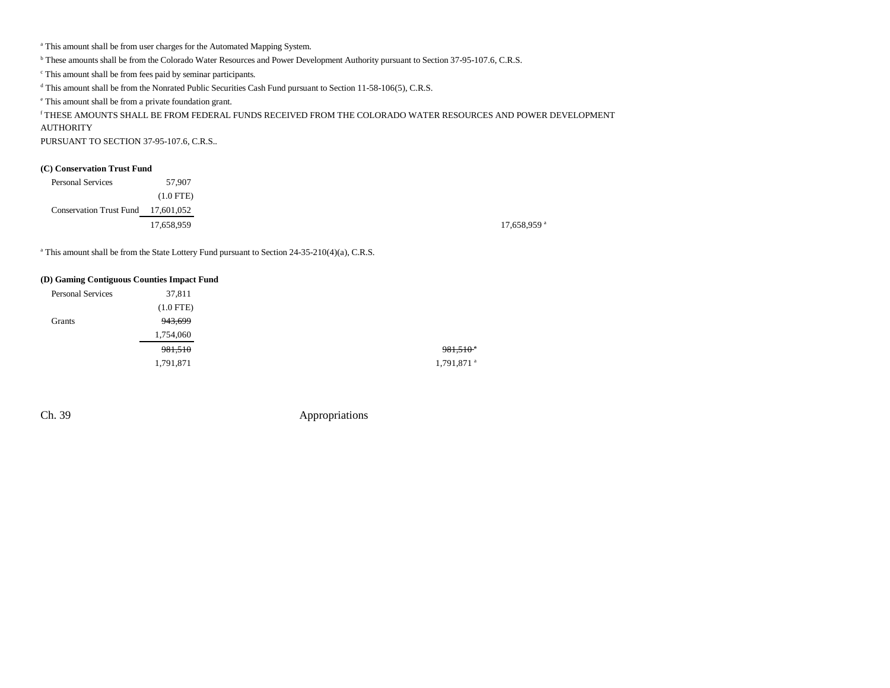<sup>a</sup> This amount shall be from user charges for the Automated Mapping System.

b These amounts shall be from the Colorado Water Resources and Power Development Authority pursuant to Section 37-95-107.6, C.R.S.

c This amount shall be from fees paid by seminar participants.

<sup>d</sup> This amount shall be from the Nonrated Public Securities Cash Fund pursuant to Section 11-58-106(5), C.R.S.

e This amount shall be from a private foundation grant.

# f THESE AMOUNTS SHALL BE FROM FEDERAL FUNDS RECEIVED FROM THE COLORADO WATER RESOURCES AND POWER DEVELOPMENT

AUTHORITY

PURSUANT TO SECTION 37-95-107.6, C.R.S..

#### **(C) Conservation Trust Fund**

| <b>Personal Services</b>           | 57,907      |
|------------------------------------|-------------|
|                                    | $(1.0$ FTE) |
| Conservation Trust Fund 17,601,052 |             |
|                                    | 17,658,959  |

17,658,959 a

<sup>a</sup> This amount shall be from the State Lottery Fund pursuant to Section 24-35-210(4)(a), C.R.S.

#### **(D) Gaming Contiguous Counties Impact Fund**

| <b>Personal Services</b> | 37,811      |                          |
|--------------------------|-------------|--------------------------|
|                          | $(1.0$ FTE) |                          |
| Grants                   | 943,699     |                          |
|                          | 1,754,060   |                          |
|                          | 981,510     | $981.510$ <sup>a</sup>   |
|                          | 1,791,871   | $1,791,871$ <sup>a</sup> |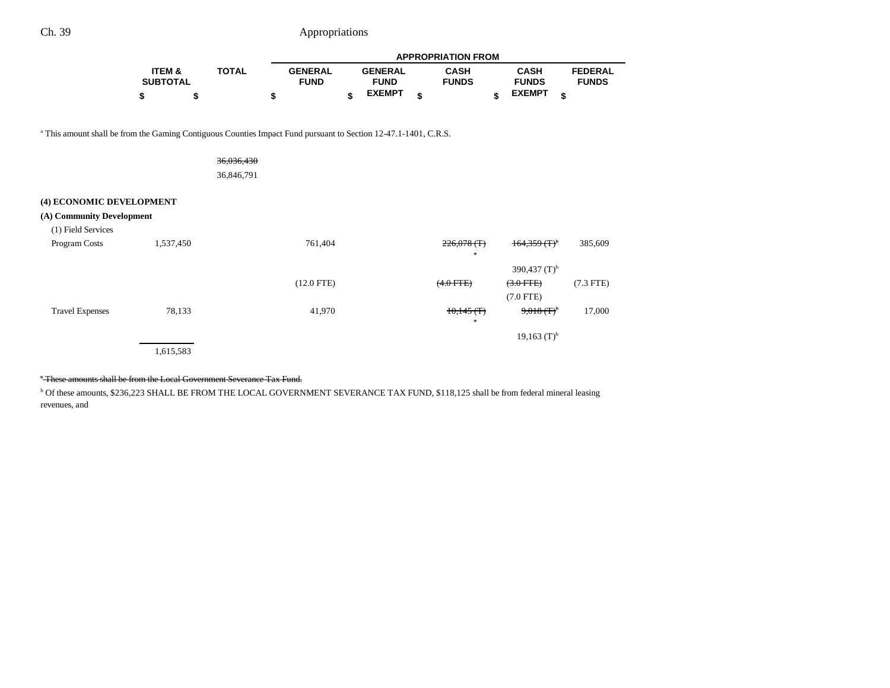|                                                                                                                            |                           |              | <b>APPROPRIATION FROM</b>     |    |                               |    |                              |                             |                                |  |  |  |
|----------------------------------------------------------------------------------------------------------------------------|---------------------------|--------------|-------------------------------|----|-------------------------------|----|------------------------------|-----------------------------|--------------------------------|--|--|--|
|                                                                                                                            | ITEM &<br><b>SUBTOTAL</b> | <b>TOTAL</b> | <b>GENERAL</b><br><b>FUND</b> |    | <b>GENERAL</b><br><b>FUND</b> |    | <b>CASH</b><br><b>FUNDS</b>  | <b>CASH</b><br><b>FUNDS</b> | <b>FEDERAL</b><br><b>FUNDS</b> |  |  |  |
|                                                                                                                            | \$<br>\$                  |              | \$                            | \$ | <b>EXEMPT</b>                 | \$ |                              | <b>EXEMPT</b><br>\$         | \$                             |  |  |  |
| <sup>a</sup> This amount shall be from the Gaming Contiguous Counties Impact Fund pursuant to Section 12-47.1-1401, C.R.S. |                           |              |                               |    |                               |    |                              |                             |                                |  |  |  |
|                                                                                                                            |                           | 36,036,430   |                               |    |                               |    |                              |                             |                                |  |  |  |
|                                                                                                                            |                           | 36,846,791   |                               |    |                               |    |                              |                             |                                |  |  |  |
| (4) ECONOMIC DEVELOPMENT                                                                                                   |                           |              |                               |    |                               |    |                              |                             |                                |  |  |  |
| (A) Community Development                                                                                                  |                           |              |                               |    |                               |    |                              |                             |                                |  |  |  |
| (1) Field Services                                                                                                         |                           |              |                               |    |                               |    |                              |                             |                                |  |  |  |
| Program Costs                                                                                                              | 1,537,450                 |              | 761,404                       |    |                               |    | $226,078$ (T)<br>$\alpha$    | 164.359(f)                  | 385,609                        |  |  |  |
|                                                                                                                            |                           |              |                               |    |                               |    |                              | 390,437 $(T)^{b}$           |                                |  |  |  |
|                                                                                                                            |                           |              | $(12.0$ FTE)                  |    |                               |    | $(4.0$ FTE)                  | $(3.0$ FTE)                 | $(7.3$ FTE)                    |  |  |  |
|                                                                                                                            |                           |              |                               |    |                               |    |                              | $(7.0$ FTE)                 |                                |  |  |  |
| <b>Travel Expenses</b>                                                                                                     | 78,133                    |              | 41,970                        |    |                               |    | $10,145$ (T)<br>$\mathbf{a}$ | $9,018$ $($ F) <sup>b</sup> | 17,000                         |  |  |  |
|                                                                                                                            |                           |              |                               |    |                               |    |                              | $19,163$ (T) <sup>b</sup>   |                                |  |  |  |
|                                                                                                                            | 1,615,583                 |              |                               |    |                               |    |                              |                             |                                |  |  |  |

#### a These amounts shall be from the Local Government Severance Tax Fund.

b Of these amounts, \$236,223 SHALL BE FROM THE LOCAL GOVERNMENT SEVERANCE TAX FUND, \$118,125 shall be from federal mineral leasing revenues, and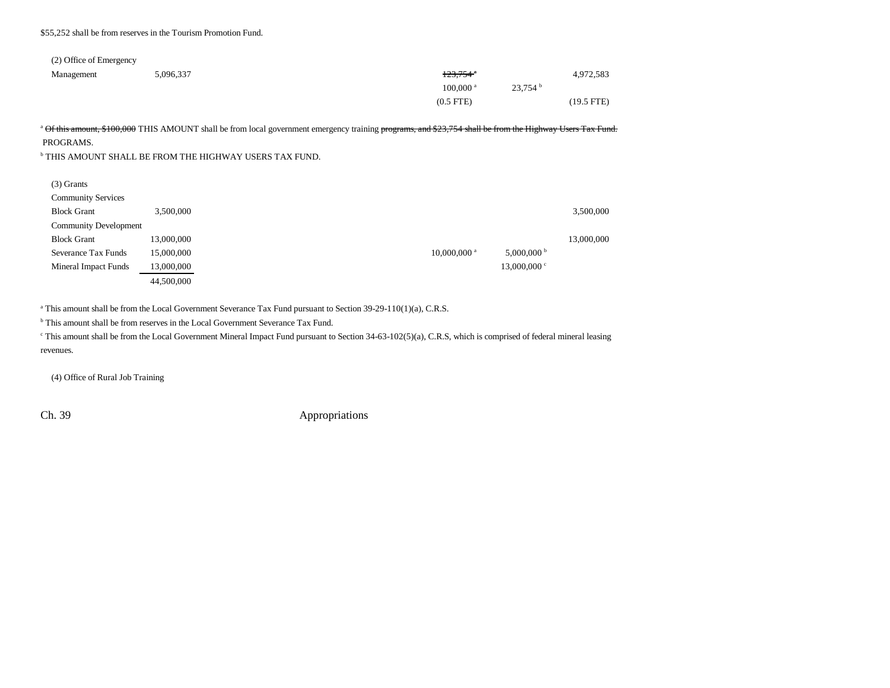#### \$55,252 shall be from reserves in the Tourism Promotion Fund.

### (2) Office of Emergency

| Management | 5,096,337 | <del>123,754</del> °   |                     | 4,972,583    |
|------------|-----------|------------------------|---------------------|--------------|
|            |           | $100,000$ <sup>a</sup> | 23.754 <sup>b</sup> |              |
|            |           | $(0.5$ FTE $)$         |                     | $(19.5$ FTE) |

<sup>a</sup> Of this amount, \$100,000 THIS AMOUNT shall be from local government emergency training programs, and \$23,754 shall be from the Highway Users Tax Fund.

PROGRAMS.

 $^{\rm b}$  THIS AMOUNT SHALL BE FROM THE HIGHWAY USERS TAX FUND.

| $(3)$ Grants                 |            |                           |                |            |
|------------------------------|------------|---------------------------|----------------|------------|
| <b>Community Services</b>    |            |                           |                |            |
| <b>Block Grant</b>           | 3,500,000  |                           |                | 3,500,000  |
| <b>Community Development</b> |            |                           |                |            |
| <b>Block Grant</b>           | 13,000,000 |                           |                | 13,000,000 |
| Severance Tax Funds          | 15,000,000 | $10,000,000$ <sup>a</sup> | $5,000,000$ b  |            |
| <b>Mineral Impact Funds</b>  | 13,000,000 |                           | $13,000,000$ c |            |
|                              | 44,500,000 |                           |                |            |

<sup>a</sup> This amount shall be from the Local Government Severance Tax Fund pursuant to Section 39-29-110(1)(a), C.R.S.

<sup>b</sup> This amount shall be from reserves in the Local Government Severance Tax Fund.

<sup>c</sup> This amount shall be from the Local Government Mineral Impact Fund pursuant to Section 34-63-102(5)(a), C.R.S, which is comprised of federal mineral leasing revenues.

(4) Office of Rural Job Training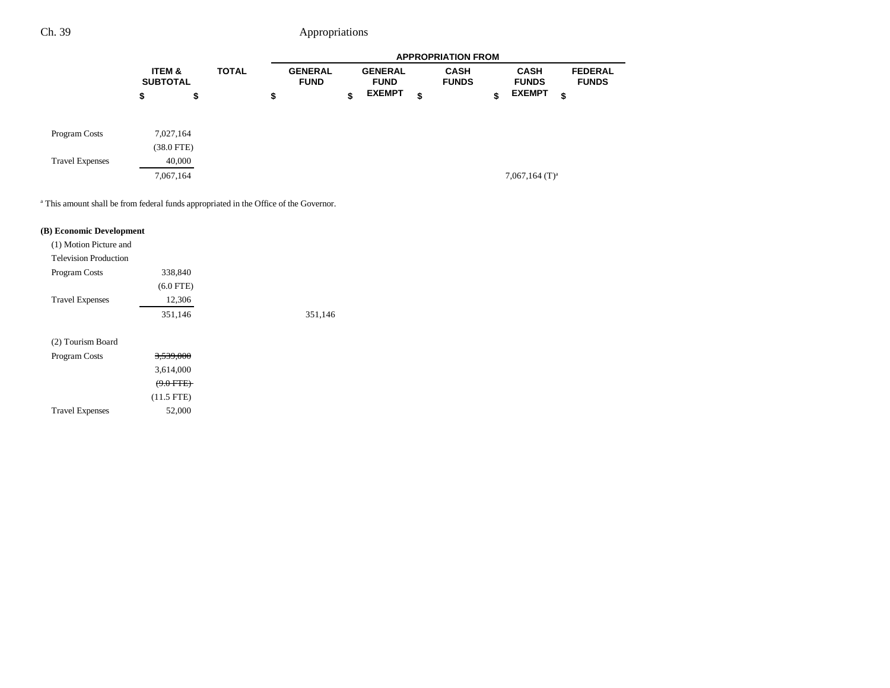|                        | <b>APPROPRIATION FROM</b>            |                         |              |    |                               |    |                               |                             |                             |                                |
|------------------------|--------------------------------------|-------------------------|--------------|----|-------------------------------|----|-------------------------------|-----------------------------|-----------------------------|--------------------------------|
|                        | <b>ITEM &amp;</b><br><b>SUBTOTAL</b> |                         | <b>TOTAL</b> |    | <b>GENERAL</b><br><b>FUND</b> |    | <b>GENERAL</b><br><b>FUND</b> | <b>CASH</b><br><b>FUNDS</b> | <b>CASH</b><br><b>FUNDS</b> | <b>FEDERAL</b><br><b>FUNDS</b> |
|                        | \$                                   | \$                      |              | \$ |                               | \$ | <b>EXEMPT</b>                 | \$                          | \$<br><b>EXEMPT</b>         | \$                             |
| Program Costs          |                                      | 7,027,164<br>(38.0 FTE) |              |    |                               |    |                               |                             |                             |                                |
| <b>Travel Expenses</b> |                                      | 40,000                  |              |    |                               |    |                               |                             |                             |                                |
|                        |                                      | 7,067,164               |              |    |                               |    |                               |                             | 7,067,164 $(T)^a$           |                                |

<sup>a</sup> This amount shall be from federal funds appropriated in the Office of the Governor.

### **(B) Economic Development**

Travel Expenses 52,000

| (1) Motion Picture and       |                      |         |
|------------------------------|----------------------|---------|
| <b>Television Production</b> |                      |         |
| Program Costs                | 338,840              |         |
|                              | $(6.0$ FTE)          |         |
| <b>Travel Expenses</b>       | 12,306               |         |
|                              | 351,146              | 351,146 |
| (2) Tourism Board            |                      |         |
| Program Costs                | 3,539,000            |         |
|                              | 3,614,000            |         |
|                              | <del>(9.0 FTE)</del> |         |
|                              | $(11.5$ FTE)         |         |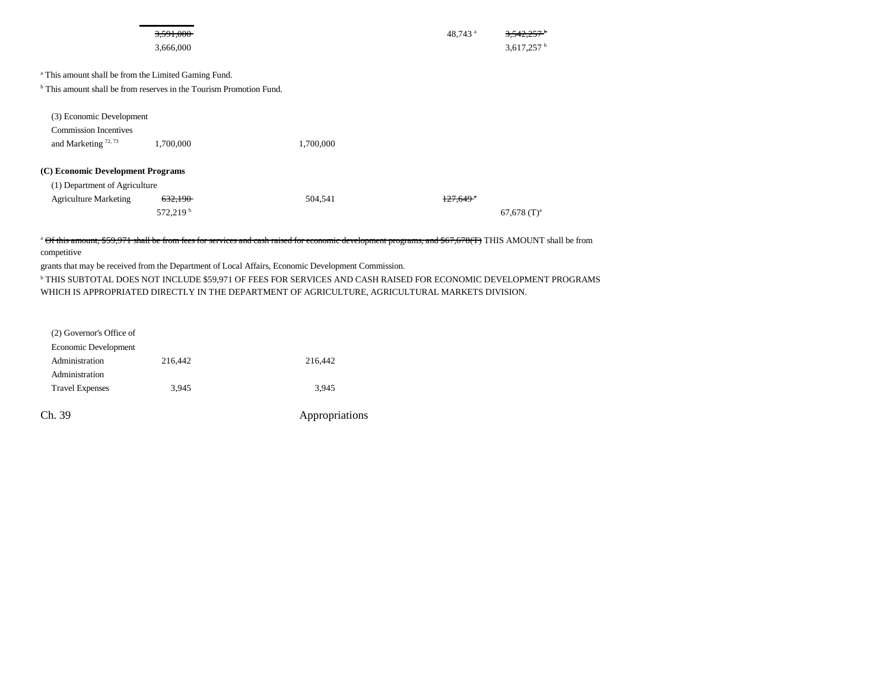|                                                                                                                                                   | 3,591,000<br>3,666,000                     |           | 48,743 <sup>a</sup>  | 3.542.<br>3,617,257 $^{\rm b}$ |
|---------------------------------------------------------------------------------------------------------------------------------------------------|--------------------------------------------|-----------|----------------------|--------------------------------|
| <sup>a</sup> This amount shall be from the Limited Gaming Fund.<br><sup>b</sup> This amount shall be from reserves in the Tourism Promotion Fund. |                                            |           |                      |                                |
| (3) Economic Development<br><b>Commission Incentives</b><br>and Marketing <sup>72,73</sup>                                                        | 1,700,000                                  | 1,700,000 |                      |                                |
| (C) Economic Development Programs<br>(1) Department of Agriculture<br><b>Agriculture Marketing</b>                                                | <del>632,190</del><br>572,219 <sup>b</sup> | 504,541   | <del>127,649 °</del> | $67,678$ (T) <sup>a</sup>      |

<sup>a</sup> Of this amount, \$59,971 shall be from fees for services and cash raised for economic development programs, and \$67,678(T) THIS AMOUNT shall be from competitive

grants that may be received from the Department of Local Affairs, Economic Development Commission.

b THIS SUBTOTAL DOES NOT INCLUDE \$59,971 OF FEES FOR SERVICES AND CASH RAISED FOR ECONOMIC DEVELOPMENT PROGRAMS WHICH IS APPROPRIATED DIRECTLY IN THE DEPARTMENT OF AGRICULTURE, AGRICULTURAL MARKETS DIVISION.

| Ch. 39                   |         | Appropriations |
|--------------------------|---------|----------------|
| <b>Travel Expenses</b>   | 3.945   | 3,945          |
| Administration           |         |                |
| Administration           | 216,442 | 216,442        |
| Economic Development     |         |                |
| (2) Governor's Office of |         |                |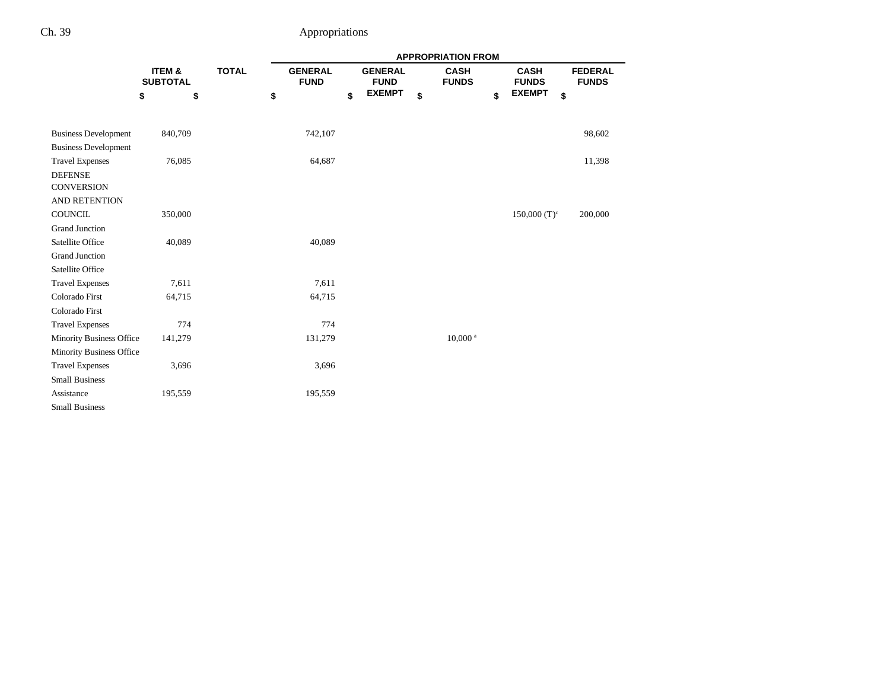|                             |                           |              | <b>APPROPRIATION FROM</b>     |    |                               |    |                             |    |                             |    |                                |
|-----------------------------|---------------------------|--------------|-------------------------------|----|-------------------------------|----|-----------------------------|----|-----------------------------|----|--------------------------------|
|                             | ITEM &<br><b>SUBTOTAL</b> | <b>TOTAL</b> | <b>GENERAL</b><br><b>FUND</b> |    | <b>GENERAL</b><br><b>FUND</b> |    | <b>CASH</b><br><b>FUNDS</b> |    | <b>CASH</b><br><b>FUNDS</b> |    | <b>FEDERAL</b><br><b>FUNDS</b> |
|                             | \$                        | \$           | \$                            | \$ | <b>EXEMPT</b>                 | \$ |                             | \$ | <b>EXEMPT</b>               | \$ |                                |
|                             |                           |              |                               |    |                               |    |                             |    |                             |    |                                |
| <b>Business Development</b> | 840,709                   |              | 742,107                       |    |                               |    |                             |    |                             |    | 98,602                         |
| <b>Business Development</b> |                           |              |                               |    |                               |    |                             |    |                             |    |                                |
| <b>Travel Expenses</b>      | 76,085                    |              | 64,687                        |    |                               |    |                             |    |                             |    | 11,398                         |
| <b>DEFENSE</b>              |                           |              |                               |    |                               |    |                             |    |                             |    |                                |
| <b>CONVERSION</b>           |                           |              |                               |    |                               |    |                             |    |                             |    |                                |
| <b>AND RETENTION</b>        |                           |              |                               |    |                               |    |                             |    |                             |    |                                |
| COUNCIL                     | 350,000                   |              |                               |    |                               |    |                             |    | $150,000$ (T) <sup>c</sup>  |    | 200,000                        |
| <b>Grand Junction</b>       |                           |              |                               |    |                               |    |                             |    |                             |    |                                |
| Satellite Office            | 40,089                    |              | 40,089                        |    |                               |    |                             |    |                             |    |                                |
| <b>Grand Junction</b>       |                           |              |                               |    |                               |    |                             |    |                             |    |                                |
| Satellite Office            |                           |              |                               |    |                               |    |                             |    |                             |    |                                |
| <b>Travel Expenses</b>      | 7,611                     |              | 7,611                         |    |                               |    |                             |    |                             |    |                                |
| Colorado First              | 64,715                    |              | 64,715                        |    |                               |    |                             |    |                             |    |                                |
| Colorado First              |                           |              |                               |    |                               |    |                             |    |                             |    |                                |
| <b>Travel Expenses</b>      | 774                       |              | 774                           |    |                               |    |                             |    |                             |    |                                |
| Minority Business Office    | 141,279                   |              | 131,279                       |    |                               |    | $10,000$ <sup>a</sup>       |    |                             |    |                                |
| Minority Business Office    |                           |              |                               |    |                               |    |                             |    |                             |    |                                |
| <b>Travel Expenses</b>      | 3,696                     |              | 3,696                         |    |                               |    |                             |    |                             |    |                                |
| <b>Small Business</b>       |                           |              |                               |    |                               |    |                             |    |                             |    |                                |
| Assistance                  | 195,559                   |              | 195,559                       |    |                               |    |                             |    |                             |    |                                |
| <b>Small Business</b>       |                           |              |                               |    |                               |    |                             |    |                             |    |                                |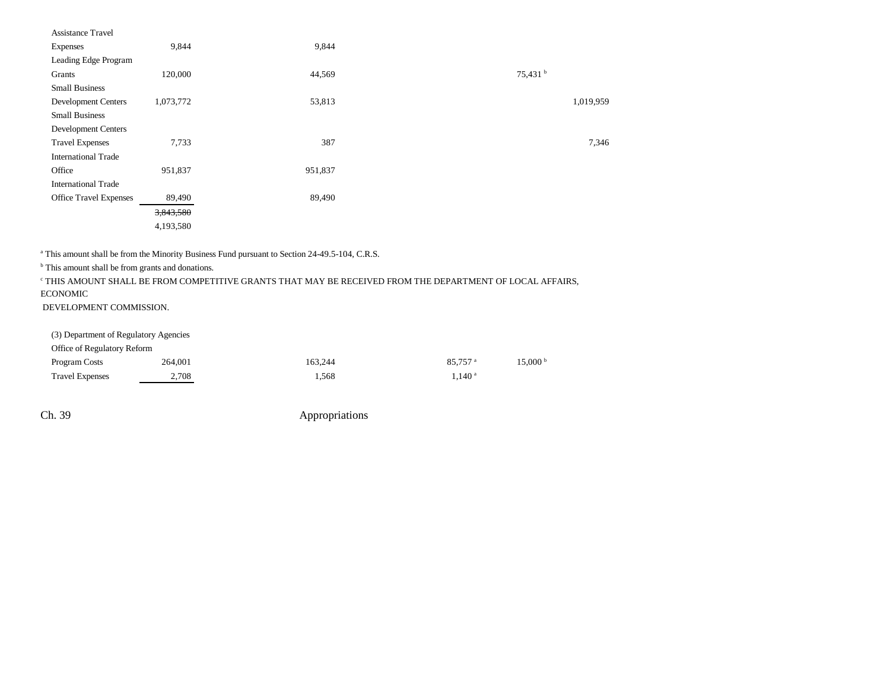| Assistance Travel             |           |         |                     |
|-------------------------------|-----------|---------|---------------------|
| Expenses                      | 9,844     | 9,844   |                     |
| Leading Edge Program          |           |         |                     |
| Grants                        | 120,000   | 44,569  | 75,431 <sup>b</sup> |
| <b>Small Business</b>         |           |         |                     |
| <b>Development Centers</b>    | 1,073,772 | 53,813  | 1,019,959           |
| <b>Small Business</b>         |           |         |                     |
| <b>Development Centers</b>    |           |         |                     |
| <b>Travel Expenses</b>        | 7,733     | 387     | 7,346               |
| <b>International Trade</b>    |           |         |                     |
| Office                        | 951,837   | 951,837 |                     |
| <b>International Trade</b>    |           |         |                     |
| <b>Office Travel Expenses</b> | 89,490    | 89,490  |                     |
|                               | 3,843,580 |         |                     |
|                               | 4,193,580 |         |                     |

<sup>a</sup> This amount shall be from the Minority Business Fund pursuant to Section 24-49.5-104, C.R.S.

<sup>b</sup> This amount shall be from grants and donations.

 $^\circ$  THIS AMOUNT SHALL BE FROM COMPETITIVE GRANTS THAT MAY BE RECEIVED FROM THE DEPARTMENT OF LOCAL AFFAIRS, ECONOMIC

DEVELOPMENT COMMISSION.

(3) Department of Regulatory Agencies  $O<sup>f</sup>$   $\log$  of Regulatory Reformed  $\frac{1}{\log q}$ 

| Office of Regulatory Reform |         |         |                     |                       |
|-----------------------------|---------|---------|---------------------|-----------------------|
| Program Costs               | 264.001 | 163.244 | 85.757 <sup>a</sup> | $15,000^{\mathrm{b}}$ |
| <b>Travel Expenses</b>      | 2.708   | .568    | .140 <sup>a</sup>   |                       |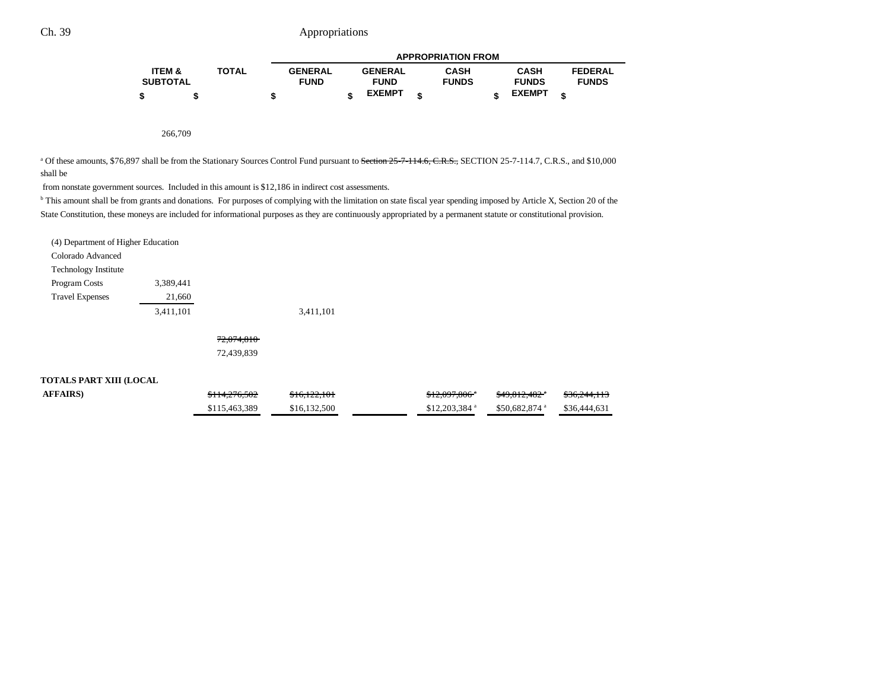|                   |              |                | <b>APPROPRIATION FROM</b> |                |  |              |               |                |  |
|-------------------|--------------|----------------|---------------------------|----------------|--|--------------|---------------|----------------|--|
| <b>ITEM &amp;</b> | <b>TOTAL</b> | <b>GENERAL</b> |                           | <b>GENERAL</b> |  | <b>CASH</b>  | <b>CASH</b>   | <b>FEDERAL</b> |  |
| <b>SUBTOTAL</b>   |              | <b>FUND</b>    |                           | <b>FUND</b>    |  | <b>FUNDS</b> | <b>FUNDS</b>  | <b>FUNDS</b>   |  |
|                   |              | œ              |                           | <b>EXEMPT</b>  |  |              | <b>EXEMPT</b> |                |  |

266,709

<sup>a</sup> Of these amounts, \$76,897 shall be from the Stationary Sources Control Fund pursuant to Section 25-7-114.6, C.R.S., SECTION 25-7-114.7, C.R.S., and \$10,000 shall be

from nonstate government sources. Included in this amount is \$12,186 in indirect cost assessments.

<sup>b</sup> This amount shall be from grants and donations. For purposes of complying with the limitation on state fiscal year spending imposed by Article X, Section 20 of the State Constitution, these moneys are included for informational purposes as they are continuously appropriated by a permanent statute or constitutional provision.

**AFFAIRS**) **5114,276,502** \$16,122,101 \$16,122,101 \$12,097,806<sup>n</sup> \$49,812,482<sup>n</sup> \$36,244,113

\$115,463,389 \$16,132,500 \$12,203,384 \$50,682,874 \$56,444,631

| (4) Department of Higher Education |           |            |  |
|------------------------------------|-----------|------------|--|
| Colorado Advanced                  |           |            |  |
| <b>Technology Institute</b>        |           |            |  |
| Program Costs                      | 3,389,441 |            |  |
| <b>Travel Expenses</b>             | 21,660    |            |  |
|                                    | 3,411,101 | 3,411,101  |  |
|                                    |           | 72,074,810 |  |
|                                    |           | 72,439,839 |  |
| <b>TOTALS PART XIII (LOCAL</b>     |           |            |  |